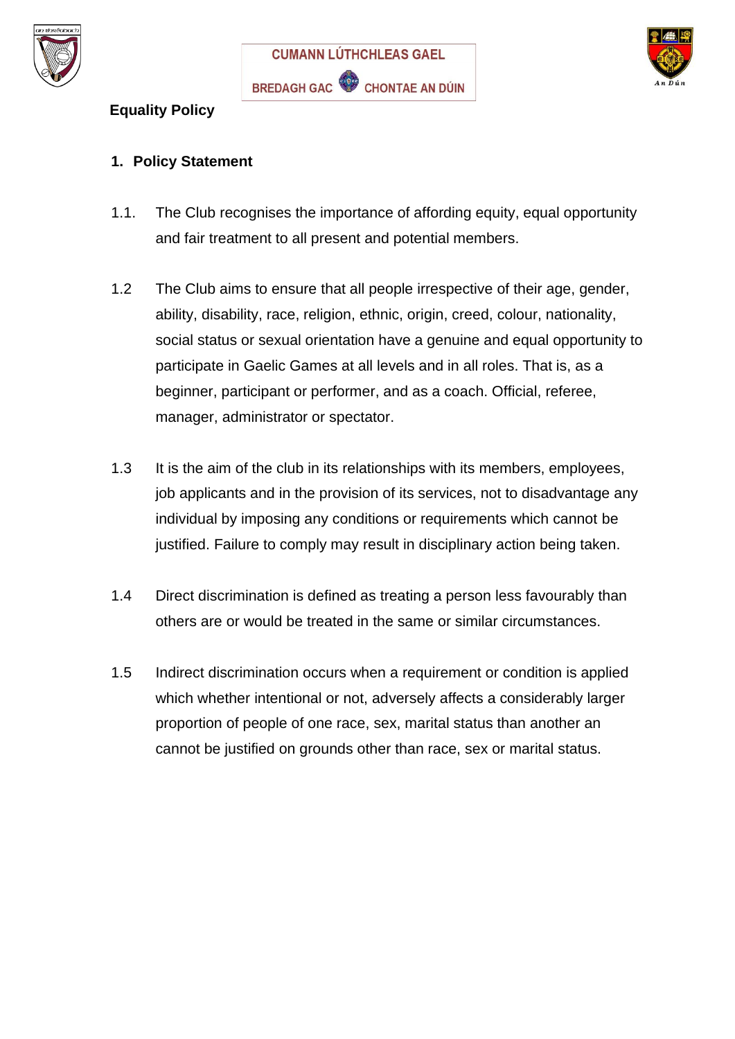





#### **Equality Policy**

#### **1. Policy Statement**

- 1.1. The Club recognises the importance of affording equity, equal opportunity and fair treatment to all present and potential members.
- 1.2 The Club aims to ensure that all people irrespective of their age, gender, ability, disability, race, religion, ethnic, origin, creed, colour, nationality, social status or sexual orientation have a genuine and equal opportunity to participate in Gaelic Games at all levels and in all roles. That is, as a beginner, participant or performer, and as a coach. Official, referee, manager, administrator or spectator.
- 1.3 It is the aim of the club in its relationships with its members, employees, job applicants and in the provision of its services, not to disadvantage any individual by imposing any conditions or requirements which cannot be justified. Failure to comply may result in disciplinary action being taken.
- 1.4 Direct discrimination is defined as treating a person less favourably than others are or would be treated in the same or similar circumstances.
- 1.5 Indirect discrimination occurs when a requirement or condition is applied which whether intentional or not, adversely affects a considerably larger proportion of people of one race, sex, marital status than another an cannot be justified on grounds other than race, sex or marital status.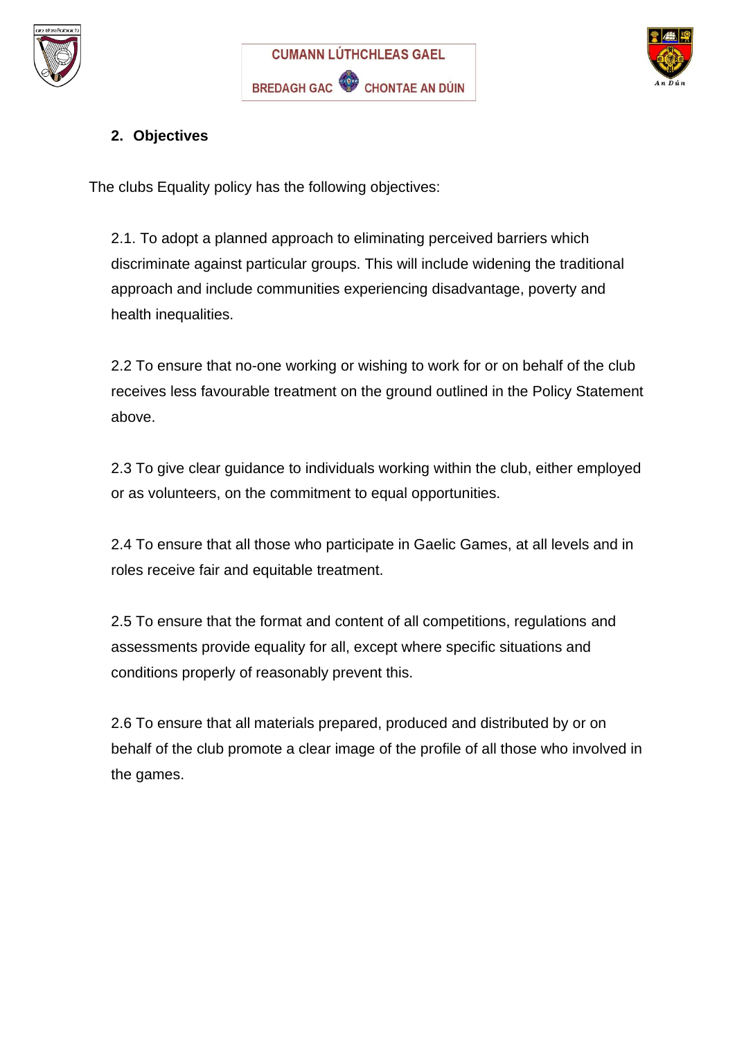





# **2. Objectives**

The clubs Equality policy has the following objectives:

2.1. To adopt a planned approach to eliminating perceived barriers which discriminate against particular groups. This will include widening the traditional approach and include communities experiencing disadvantage, poverty and health inequalities.

2.2 To ensure that no-one working or wishing to work for or on behalf of the club receives less favourable treatment on the ground outlined in the Policy Statement above.

2.3 To give clear guidance to individuals working within the club, either employed or as volunteers, on the commitment to equal opportunities.

2.4 To ensure that all those who participate in Gaelic Games, at all levels and in roles receive fair and equitable treatment.

2.5 To ensure that the format and content of all competitions, regulations and assessments provide equality for all, except where specific situations and conditions properly of reasonably prevent this.

2.6 To ensure that all materials prepared, produced and distributed by or on behalf of the club promote a clear image of the profile of all those who involved in the games.